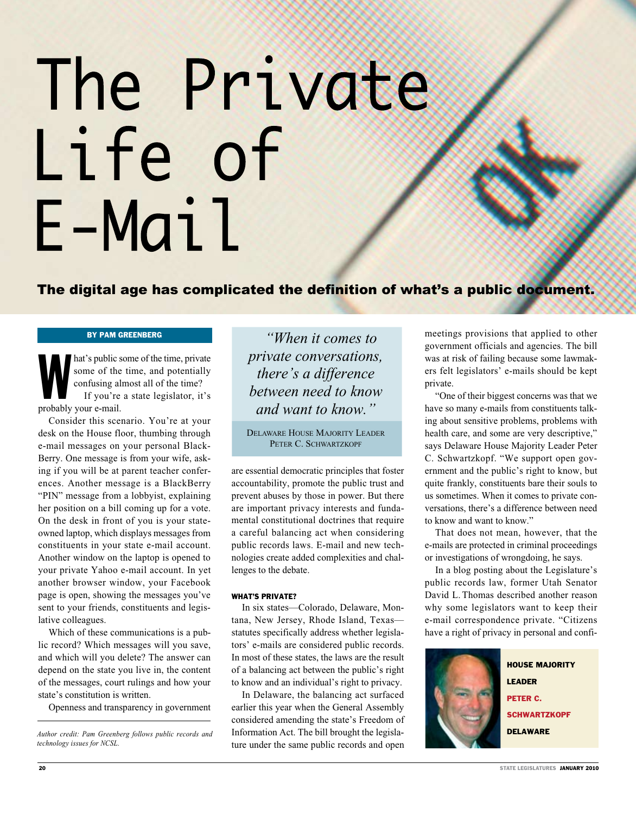# The Private Life of E-Mail

# The digital age has complicated the definition of what's a public document.

# By Pam Greenberg

hat's public some of the<br>some of the<br>confusing all<br>If you're<br>probably your e-mail. hat's public some of the time, private some of the time, and potentially confusing almost all of the time? If you're a state legislator, it's

Consider this scenario. You're at your desk on the House floor, thumbing through e-mail messages on your personal Black-Berry. One message is from your wife, asking if you will be at parent teacher conferences. Another message is a BlackBerry "PIN" message from a lobbyist, explaining her position on a bill coming up for a vote. On the desk in front of you is your stateowned laptop, which displays messages from constituents in your state e-mail account. Another window on the laptop is opened to your private Yahoo e-mail account. In yet another browser window, your Facebook page is open, showing the messages you've sent to your friends, constituents and legislative colleagues.

Which of these communications is a public record? Which messages will you save, and which will you delete? The answer can depend on the state you live in, the content of the messages, court rulings and how your state's constitution is written.

Openness and transparency in government

*"When it comes to private conversations, there's a difference between need to know and want to know."*

Delaware House Majority Leader PETER C. SCHWARTZKOPF

are essential democratic principles that foster accountability, promote the public trust and prevent abuses by those in power. But there are important privacy interests and fundamental constitutional doctrines that require a careful balancing act when considering public records laws. E-mail and new technologies create added complexities and challenges to the debate.

## WHAT'S PRIVATE?

In six states—Colorado, Delaware, Montana, New Jersey, Rhode Island, Texas statutes specifically address whether legislators' e-mails are considered public records. In most of these states, the laws are the result of a balancing act between the public's right to know and an individual's right to privacy.

In Delaware, the balancing act surfaced earlier this year when the General Assembly considered amending the state's Freedom of Information Act. The bill brought the legislature under the same public records and open meetings provisions that applied to other government officials and agencies. The bill was at risk of failing because some lawmakers felt legislators' e-mails should be kept private.

"One of their biggest concerns was that we have so many e-mails from constituents talking about sensitive problems, problems with health care, and some are very descriptive," says Delaware House Majority Leader Peter C. Schwartzkopf. "We support open government and the public's right to know, but quite frankly, constituents bare their souls to us sometimes. When it comes to private conversations, there's a difference between need to know and want to know."

That does not mean, however, that the e-mails are protected in criminal proceedings or investigations of wrongdoing, he says.

In a blog posting about the Legislature's public records law, former Utah Senator David L. Thomas described another reason why some legislators want to keep their e-mail correspondence private. "Citizens have a right of privacy in personal and confi-



House Majority Leader Peter C. **SCHWARTZKOPF DELAWARE** 

*Author credit: Pam Greenberg follows public records and technology issues for NCSL.*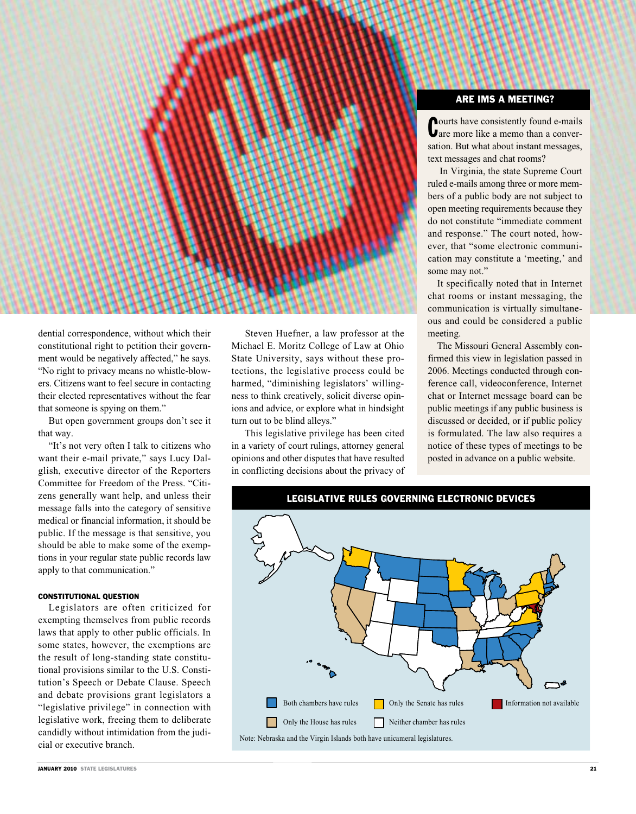## Are IMs a Meeting?

**O** consistently found e-mails<br> **O** are more like a memo than a conver-**Nourts** have consistently found e-mails sation. But what about instant messages, text messages and chat rooms?

 In Virginia, the state Supreme Court ruled e-mails among three or more members of a public body are not subject to open meeting requirements because they do not constitute "immediate comment and response." The court noted, however, that "some electronic communication may constitute a 'meeting,' and some may not."

It specifically noted that in Internet chat rooms or instant messaging, the communication is virtually simultaneous and could be considered a public meeting.

The Missouri General Assembly confirmed this view in legislation passed in 2006. Meetings conducted through conference call, videoconference, Internet chat or Internet message board can be public meetings if any public business is discussed or decided, or if public policy is formulated. The law also requires a notice of these types of meetings to be posted in advance on a public website.



dential correspondence, without which their constitutional right to petition their government would be negatively affected," he says. "No right to privacy means no whistle-blowers. Citizens want to feel secure in contacting their elected representatives without the fear that someone is spying on them."

But open government groups don't see it that way.

"It's not very often I talk to citizens who want their e-mail private," says Lucy Dalglish, executive director of the Reporters Committee for Freedom of the Press. "Citizens generally want help, and unless their message falls into the category of sensitive medical or financial information, it should be public. If the message is that sensitive, you should be able to make some of the exemptions in your regular state public records law apply to that communication."

#### CONSTITUTIONAL QUESTION

Legislators are often criticized for exempting themselves from public records laws that apply to other public officials. In some states, however, the exemptions are the result of long-standing state constitutional provisions similar to the U.S. Constitution's Speech or Debate Clause. Speech and debate provisions grant legislators a "legislative privilege" in connection with legislative work, freeing them to deliberate candidly without intimidation from the judicial or executive branch.

 Steven Huefner, a law professor at the Michael E. Moritz College of Law at Ohio State University, says without these protections, the legislative process could be harmed, "diminishing legislators' willingness to think creatively, solicit diverse opinions and advice, or explore what in hindsight turn out to be blind alleys."

 This legislative privilege has been cited in a variety of court rulings, attorney general opinions and other disputes that have resulted in conflicting decisions about the privacy of



# Legislative Rules Governing Electronic Devices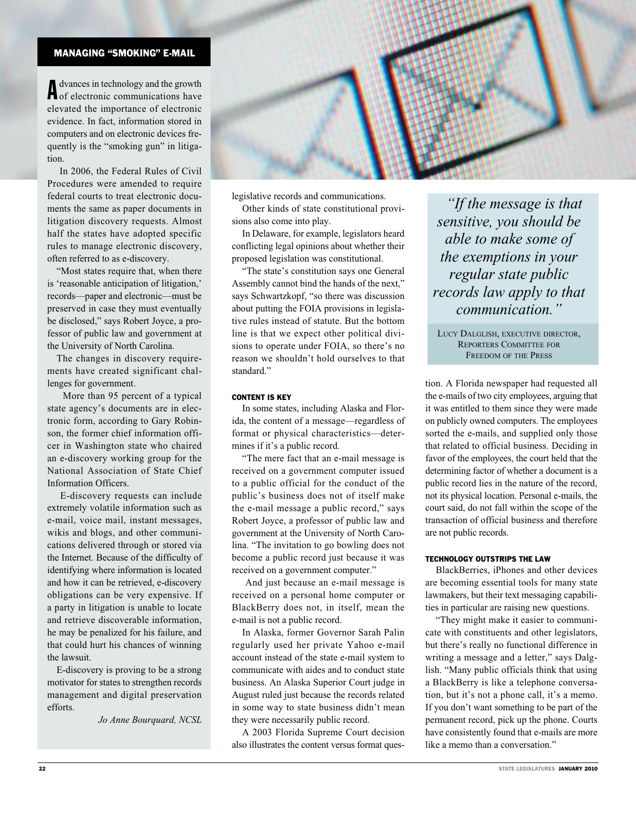# Managing "Smoking" E-Mail

A dvances in technology and the growth<br>of electronic communications have dvances in technology and the growth elevated the importance of electronic evidence. In fact, information stored in computers and on electronic devices frequently is the "smoking gun" in litigation.

 In 2006, the Federal Rules of Civil Procedures were amended to require federal courts to treat electronic documents the same as paper documents in litigation discovery requests. Almost half the states have adopted specific rules to manage electronic discovery, often referred to as e-discovery.

"Most states require that, when there is 'reasonable anticipation of litigation,' records—paper and electronic—must be preserved in case they must eventually be disclosed," says Robert Joyce, a professor of public law and government at the University of North Carolina.

The changes in discovery requirements have created significant challenges for government.

 More than 95 percent of a typical state agency's documents are in electronic form, according to Gary Robinson, the former chief information officer in Washington state who chaired an e-discovery working group for the National Association of State Chief Information Officers.

 E-discovery requests can include extremely volatile information such as e-mail, voice mail, instant messages, wikis and blogs, and other communications delivered through or stored via the Internet. Because of the difficulty of identifying where information is located and how it can be retrieved, e-discovery obligations can be very expensive. If a party in litigation is unable to locate and retrieve discoverable information, he may be penalized for his failure, and that could hurt his chances of winning the lawsuit.

E-discovery is proving to be a strong motivator for states to strengthen records management and digital preservation efforts.

*Jo Anne Bourquard, NCSL*



legislative records and communications.

Other kinds of state constitutional provisions also come into play.

In Delaware, for example, legislators heard conflicting legal opinions about whether their proposed legislation was constitutional.

"The state's constitution says one General Assembly cannot bind the hands of the next," says Schwartzkopf, "so there was discussion about putting the FOIA provisions in legislative rules instead of statute. But the bottom line is that we expect other political divisions to operate under FOIA, so there's no reason we shouldn't hold ourselves to that standard."

#### CONTENT IS KEY

In some states, including Alaska and Florida, the content of a message—regardless of format or physical characteristics—determines if it's a public record.

"The mere fact that an e-mail message is received on a government computer issued to a public official for the conduct of the public's business does not of itself make the e-mail message a public record," says Robert Joyce, a professor of public law and government at the University of North Carolina. "The invitation to go bowling does not become a public record just because it was received on a government computer."

 And just because an e-mail message is received on a personal home computer or BlackBerry does not, in itself, mean the e-mail is not a public record.

In Alaska, former Governor Sarah Palin regularly used her private Yahoo e-mail account instead of the state e-mail system to communicate with aides and to conduct state business. An Alaska Superior Court judge in August ruled just because the records related in some way to state business didn't mean they were necessarily public record.

A 2003 Florida Supreme Court decision also illustrates the content versus format ques-

*"If the message is that sensitive, you should be able to make some of the exemptions in your regular state public records law apply to that communication."*

Lucy Dalglish, executive director, Reporters Committee for Freedom of the Press

tion. A Florida newspaper had requested all the e-mails of two city employees, arguing that it was entitled to them since they were made on publicly owned computers. The employees sorted the e-mails, and supplied only those that related to official business. Deciding in favor of the employees, the court held that the determining factor of whether a document is a public record lies in the nature of the record, not its physical location. Personal e-mails, the court said, do not fall within the scope of the transaction of official business and therefore are not public records.

# TECHNOLOGY OUTSTRIPS THE LAW

BlackBerries, iPhones and other devices are becoming essential tools for many state lawmakers, but their text messaging capabilities in particular are raising new questions.

"They might make it easier to communicate with constituents and other legislators, but there's really no functional difference in writing a message and a letter," says Dalglish. "Many public officials think that using a BlackBerry is like a telephone conversation, but it's not a phone call, it's a memo. If you don't want something to be part of the permanent record, pick up the phone. Courts have consistently found that e-mails are more like a memo than a conversation."